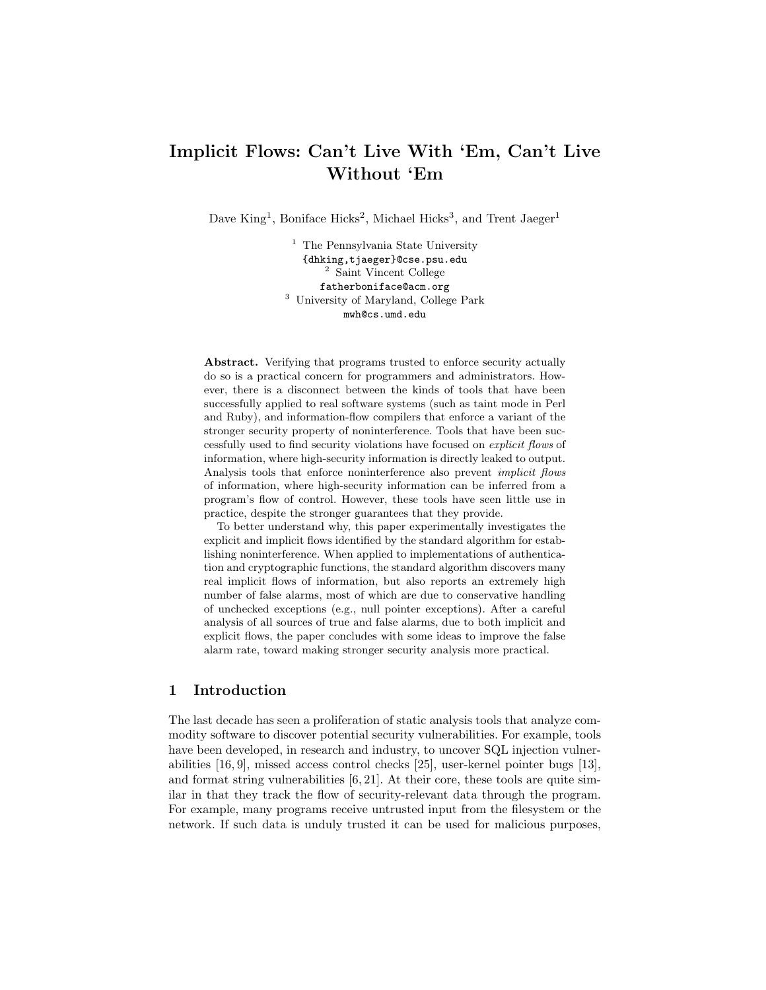# Implicit Flows: Can't Live With 'Em, Can't Live Without 'Em

Dave King<sup>1</sup>, Boniface Hicks<sup>2</sup>, Michael Hicks<sup>3</sup>, and Trent Jaeger<sup>1</sup>

<sup>1</sup> The Pennsylvania State University {dhking,tjaeger}@cse.psu.edu <sup>2</sup> Saint Vincent College fatherboniface@acm.org <sup>3</sup> University of Maryland, College Park mwh@cs.umd.edu

Abstract. Verifying that programs trusted to enforce security actually do so is a practical concern for programmers and administrators. However, there is a disconnect between the kinds of tools that have been successfully applied to real software systems (such as taint mode in Perl and Ruby), and information-flow compilers that enforce a variant of the stronger security property of noninterference. Tools that have been successfully used to find security violations have focused on explicit flows of information, where high-security information is directly leaked to output. Analysis tools that enforce noninterference also prevent implicit flows of information, where high-security information can be inferred from a program's flow of control. However, these tools have seen little use in practice, despite the stronger guarantees that they provide.

To better understand why, this paper experimentally investigates the explicit and implicit flows identified by the standard algorithm for establishing noninterference. When applied to implementations of authentication and cryptographic functions, the standard algorithm discovers many real implicit flows of information, but also reports an extremely high number of false alarms, most of which are due to conservative handling of unchecked exceptions (e.g., null pointer exceptions). After a careful analysis of all sources of true and false alarms, due to both implicit and explicit flows, the paper concludes with some ideas to improve the false alarm rate, toward making stronger security analysis more practical.

# 1 Introduction

The last decade has seen a proliferation of static analysis tools that analyze commodity software to discover potential security vulnerabilities. For example, tools have been developed, in research and industry, to uncover SQL injection vulnerabilities [16, 9], missed access control checks [25], user-kernel pointer bugs [13], and format string vulnerabilities [6, 21]. At their core, these tools are quite similar in that they track the flow of security-relevant data through the program. For example, many programs receive untrusted input from the filesystem or the network. If such data is unduly trusted it can be used for malicious purposes,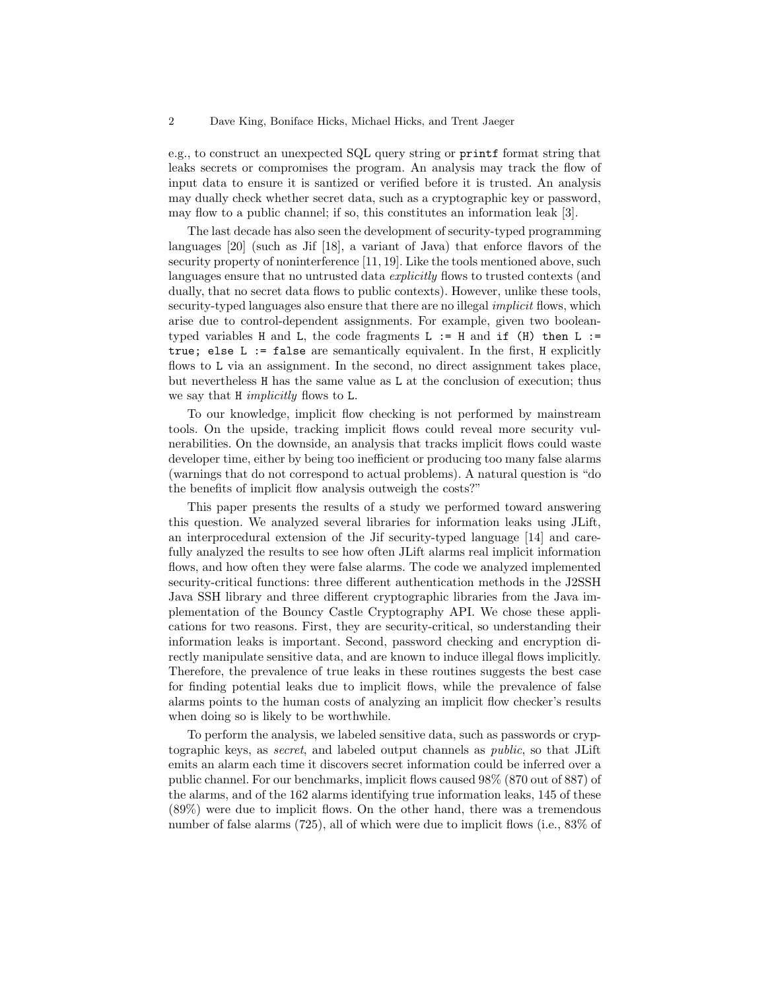e.g., to construct an unexpected SQL query string or printf format string that leaks secrets or compromises the program. An analysis may track the flow of input data to ensure it is santized or verified before it is trusted. An analysis may dually check whether secret data, such as a cryptographic key or password, may flow to a public channel; if so, this constitutes an information leak [3].

The last decade has also seen the development of security-typed programming languages [20] (such as Jif [18], a variant of Java) that enforce flavors of the security property of noninterference [11, 19]. Like the tools mentioned above, such languages ensure that no untrusted data *explicitly* flows to trusted contexts (and dually, that no secret data flows to public contexts). However, unlike these tools, security-typed languages also ensure that there are no illegal *implicit* flows, which arise due to control-dependent assignments. For example, given two booleantyped variables H and L, the code fragments  $L := H$  and if (H) then  $L :=$ true; else L := false are semantically equivalent. In the first, H explicitly flows to L via an assignment. In the second, no direct assignment takes place, but nevertheless H has the same value as L at the conclusion of execution; thus we say that H *implicitly* flows to L.

To our knowledge, implicit flow checking is not performed by mainstream tools. On the upside, tracking implicit flows could reveal more security vulnerabilities. On the downside, an analysis that tracks implicit flows could waste developer time, either by being too inefficient or producing too many false alarms (warnings that do not correspond to actual problems). A natural question is "do the benefits of implicit flow analysis outweigh the costs?"

This paper presents the results of a study we performed toward answering this question. We analyzed several libraries for information leaks using JLift, an interprocedural extension of the Jif security-typed language [14] and carefully analyzed the results to see how often JLift alarms real implicit information flows, and how often they were false alarms. The code we analyzed implemented security-critical functions: three different authentication methods in the J2SSH Java SSH library and three different cryptographic libraries from the Java implementation of the Bouncy Castle Cryptography API. We chose these applications for two reasons. First, they are security-critical, so understanding their information leaks is important. Second, password checking and encryption directly manipulate sensitive data, and are known to induce illegal flows implicitly. Therefore, the prevalence of true leaks in these routines suggests the best case for finding potential leaks due to implicit flows, while the prevalence of false alarms points to the human costs of analyzing an implicit flow checker's results when doing so is likely to be worthwhile.

To perform the analysis, we labeled sensitive data, such as passwords or cryptographic keys, as secret, and labeled output channels as public, so that JLift emits an alarm each time it discovers secret information could be inferred over a public channel. For our benchmarks, implicit flows caused 98% (870 out of 887) of the alarms, and of the 162 alarms identifying true information leaks, 145 of these (89%) were due to implicit flows. On the other hand, there was a tremendous number of false alarms (725), all of which were due to implicit flows (i.e.,  $83\%$  of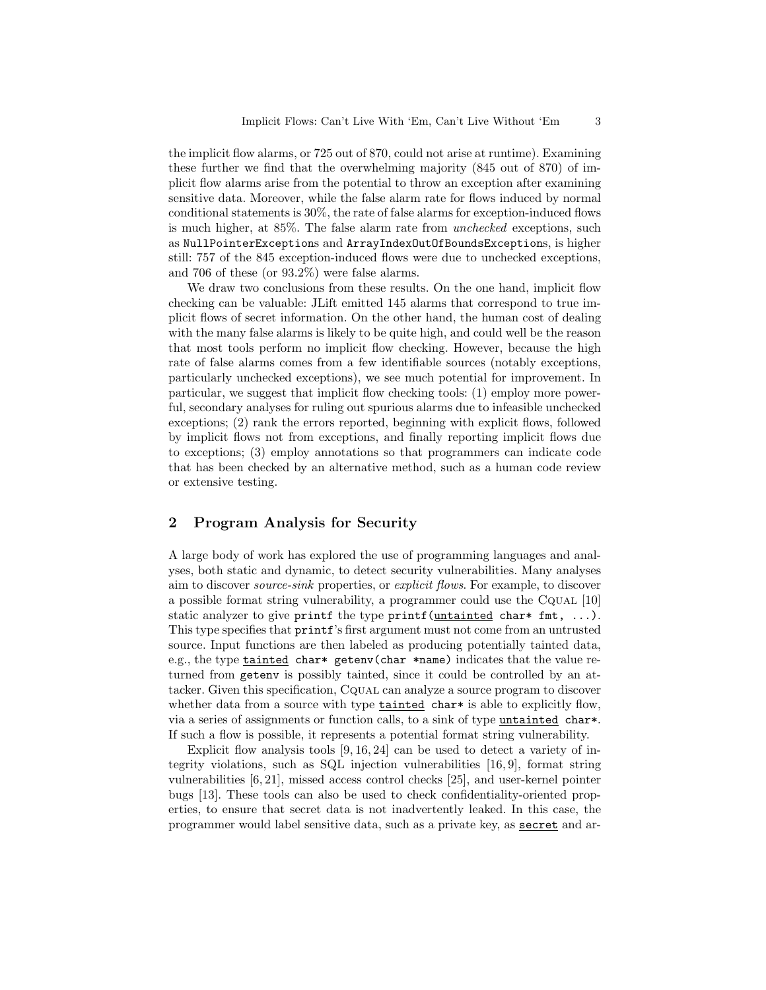the implicit flow alarms, or 725 out of 870, could not arise at runtime). Examining these further we find that the overwhelming majority (845 out of 870) of implicit flow alarms arise from the potential to throw an exception after examining sensitive data. Moreover, while the false alarm rate for flows induced by normal conditional statements is 30%, the rate of false alarms for exception-induced flows is much higher, at 85%. The false alarm rate from unchecked exceptions, such as NullPointerExceptions and ArrayIndexOutOfBoundsExceptions, is higher still: 757 of the 845 exception-induced flows were due to unchecked exceptions, and 706 of these (or 93.2%) were false alarms.

We draw two conclusions from these results. On the one hand, implicit flow checking can be valuable: JLift emitted 145 alarms that correspond to true implicit flows of secret information. On the other hand, the human cost of dealing with the many false alarms is likely to be quite high, and could well be the reason that most tools perform no implicit flow checking. However, because the high rate of false alarms comes from a few identifiable sources (notably exceptions, particularly unchecked exceptions), we see much potential for improvement. In particular, we suggest that implicit flow checking tools: (1) employ more powerful, secondary analyses for ruling out spurious alarms due to infeasible unchecked exceptions; (2) rank the errors reported, beginning with explicit flows, followed by implicit flows not from exceptions, and finally reporting implicit flows due to exceptions; (3) employ annotations so that programmers can indicate code that has been checked by an alternative method, such as a human code review or extensive testing.

# 2 Program Analysis for Security

A large body of work has explored the use of programming languages and analyses, both static and dynamic, to detect security vulnerabilities. Many analyses aim to discover source-sink properties, or explicit flows. For example, to discover a possible format string vulnerability, a programmer could use the CQUAL [10] static analyzer to give printf the type printf (untainted char\*  $f$ mt, ...). This type specifies that printf's first argument must not come from an untrusted source. Input functions are then labeled as producing potentially tainted data, e.g., the type tainted char\* getenv(char \*name) indicates that the value returned from getenv is possibly tainted, since it could be controlled by an attacker. Given this specification, Cqual can analyze a source program to discover whether data from a source with type  $t$  ainted char\* is able to explicitly flow, via a series of assignments or function calls, to a sink of type untainted char\*. If such a flow is possible, it represents a potential format string vulnerability.

Explicit flow analysis tools [9, 16, 24] can be used to detect a variety of integrity violations, such as SQL injection vulnerabilities [16, 9], format string vulnerabilities [6, 21], missed access control checks [25], and user-kernel pointer bugs [13]. These tools can also be used to check confidentiality-oriented properties, to ensure that secret data is not inadvertently leaked. In this case, the programmer would label sensitive data, such as a private key, as secret and ar-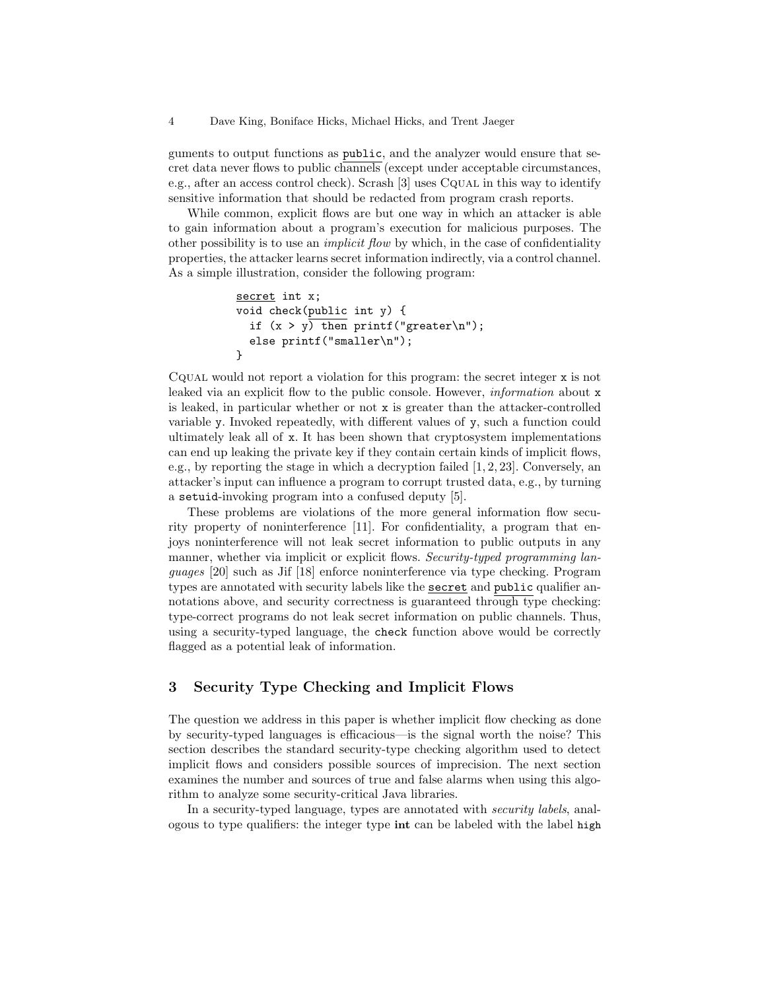guments to output functions as public, and the analyzer would ensure that secret data never flows to public channels (except under acceptable circumstances, e.g., after an access control check). Scrash [3] uses CQUAL in this way to identify sensitive information that should be redacted from program crash reports.

While common, explicit flows are but one way in which an attacker is able to gain information about a program's execution for malicious purposes. The other possibility is to use an implicit flow by which, in the case of confidentiality properties, the attacker learns secret information indirectly, via a control channel. As a simple illustration, consider the following program:

```
secret int x;
void check(public int y) {
  if (x > y) then printf("greater\n");
  else printf("smaller\n");
}
```
Cqual would not report a violation for this program: the secret integer x is not leaked via an explicit flow to the public console. However, *information* about x is leaked, in particular whether or not x is greater than the attacker-controlled variable y. Invoked repeatedly, with different values of y, such a function could ultimately leak all of x. It has been shown that cryptosystem implementations can end up leaking the private key if they contain certain kinds of implicit flows, e.g., by reporting the stage in which a decryption failed [1, 2, 23]. Conversely, an attacker's input can influence a program to corrupt trusted data, e.g., by turning a setuid-invoking program into a confused deputy [5].

These problems are violations of the more general information flow security property of noninterference [11]. For confidentiality, a program that enjoys noninterference will not leak secret information to public outputs in any manner, whether via implicit or explicit flows. Security-typed programming languages [20] such as Jif [18] enforce noninterference via type checking. Program types are annotated with security labels like the secret and public qualifier annotations above, and security correctness is guaranteed through type checking: type-correct programs do not leak secret information on public channels. Thus, using a security-typed language, the check function above would be correctly flagged as a potential leak of information.

# 3 Security Type Checking and Implicit Flows

The question we address in this paper is whether implicit flow checking as done by security-typed languages is efficacious—is the signal worth the noise? This section describes the standard security-type checking algorithm used to detect implicit flows and considers possible sources of imprecision. The next section examines the number and sources of true and false alarms when using this algorithm to analyze some security-critical Java libraries.

In a security-typed language, types are annotated with *security labels*, analogous to type qualifiers: the integer type int can be labeled with the label high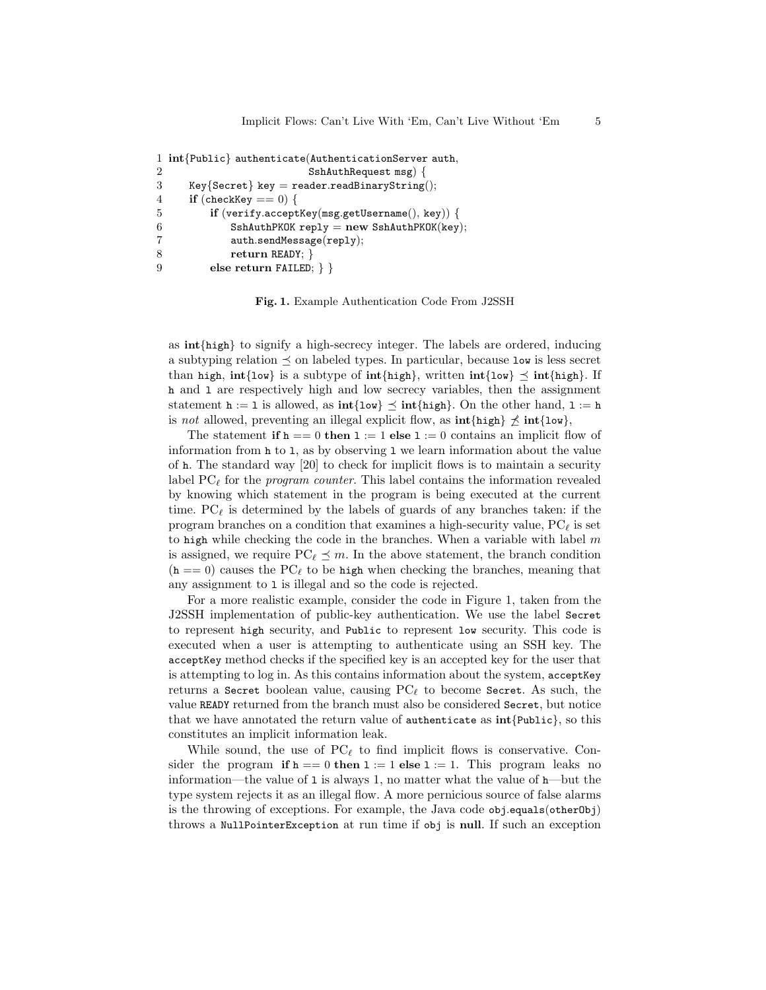```
1 int{Public} authenticate(AuthenticationServer auth,
2 SshAuthRequest msg) {
3 Key{Secret} key = reader.readBinaryString();<br>4 if (checkKey == 0) {
     if (checkKey == 0) {
5 if (verify.acceptKey(msg.getUsername(), key)) {
6 SshAuthPKOK reply = new SshAuthPKOK(key);
7 auth.sendMessage(reply);
8 return READY; }
9 else return FAILED; } }
```
Fig. 1. Example Authentication Code From J2SSH

as int{high} to signify a high-secrecy integer. The labels are ordered, inducing a subtyping relation  $\preceq$  on labeled types. In particular, because low is less secret than high,  $\text{int}\{\text{low}\}\$ is a subtype of  $\text{int}\{\text{high}\}\$ , written  $\text{int}\{\text{low}\}\leq \text{int}\{\text{high}\}\$ . If h and l are respectively high and low secrecy variables, then the assignment statement  $h := 1$  is allowed, as  $int\{low\} \preceq int\{high\}$ . On the other hand,  $1 := h$ is not allowed, preventing an illegal explicit flow, as  $\text{int}\{\text{high}\}\nleq \text{int}\{\text{low}\},\$ 

The statement if  $h == 0$  then  $1 := 1$  else  $1 := 0$  contains an implicit flow of information from h to l, as by observing l we learn information about the value of h. The standard way [20] to check for implicit flows is to maintain a security label  $PC_{\ell}$  for the *program counter*. This label contains the information revealed by knowing which statement in the program is being executed at the current time.  $PC_{\ell}$  is determined by the labels of guards of any branches taken: if the program branches on a condition that examines a high-security value,  $PC_{\ell}$  is set to high while checking the code in the branches. When a variable with label  $m$ is assigned, we require  $PC_{\ell} \preceq m$ . In the above statement, the branch condition  $(h == 0)$  causes the PC<sub> $\ell$ </sub> to be high when checking the branches, meaning that any assignment to 1 is illegal and so the code is rejected.

For a more realistic example, consider the code in Figure 1, taken from the J2SSH implementation of public-key authentication. We use the label Secret to represent high security, and Public to represent low security. This code is executed when a user is attempting to authenticate using an SSH key. The acceptKey method checks if the specified key is an accepted key for the user that is attempting to log in. As this contains information about the system, accept Key returns a Secret boolean value, causing  $PC_{\ell}$  to become Secret. As such, the value READY returned from the branch must also be considered Secret, but notice that we have annotated the return value of authenticate as int{Public}, so this constitutes an implicit information leak.

While sound, the use of  $PC_{\ell}$  to find implicit flows is conservative. Consider the program if  $h == 0$  then  $1 := 1$  else  $1 := 1$ . This program leaks no information—the value of l is always 1, no matter what the value of h—but the type system rejects it as an illegal flow. A more pernicious source of false alarms is the throwing of exceptions. For example, the Java code obj.equals(otherObj) throws a NullPointerException at run time if obj is null. If such an exception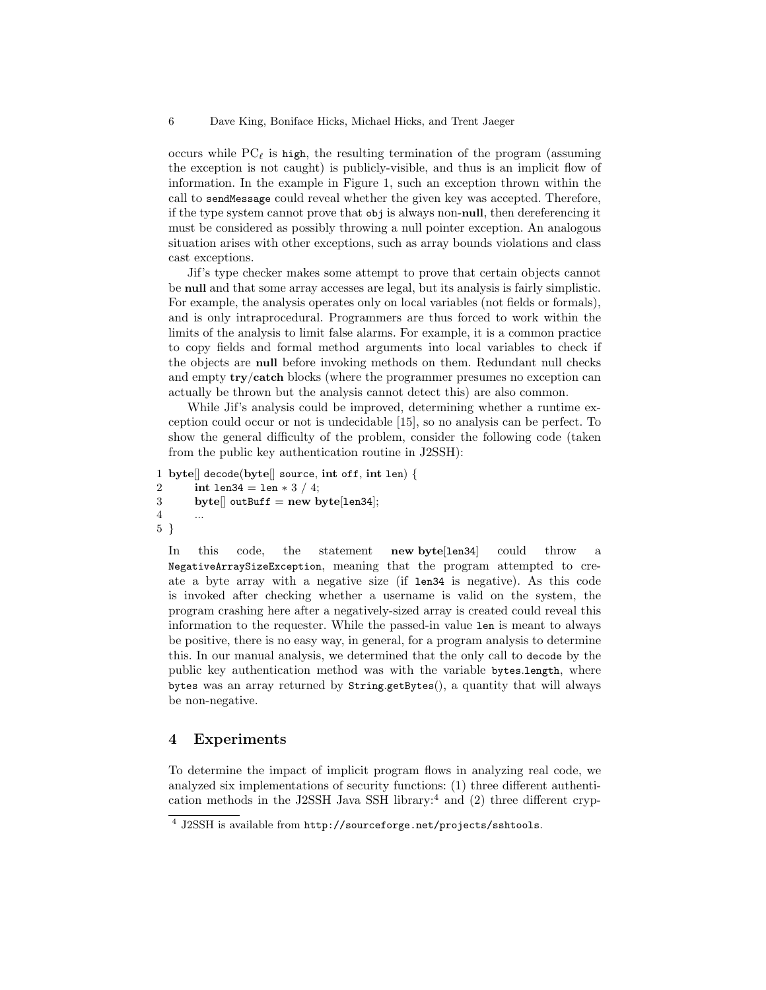occurs while  $PC_{\ell}$  is high, the resulting termination of the program (assuming the exception is not caught) is publicly-visible, and thus is an implicit flow of information. In the example in Figure 1, such an exception thrown within the call to sendMessage could reveal whether the given key was accepted. Therefore, if the type system cannot prove that obj is always non-null, then dereferencing it must be considered as possibly throwing a null pointer exception. An analogous situation arises with other exceptions, such as array bounds violations and class cast exceptions.

Jif's type checker makes some attempt to prove that certain objects cannot be null and that some array accesses are legal, but its analysis is fairly simplistic. For example, the analysis operates only on local variables (not fields or formals), and is only intraprocedural. Programmers are thus forced to work within the limits of the analysis to limit false alarms. For example, it is a common practice to copy fields and formal method arguments into local variables to check if the objects are null before invoking methods on them. Redundant null checks and empty try/catch blocks (where the programmer presumes no exception can actually be thrown but the analysis cannot detect this) are also common.

While Jif's analysis could be improved, determining whether a runtime exception could occur or not is undecidable [15], so no analysis can be perfect. To show the general difficulty of the problem, consider the following code (taken from the public key authentication routine in J2SSH):

```
1 byte[] decode(byte[] source, int off, int len) {
2 int len34 = len * 3 / 4;
3 byte[] outBuff = new byte[len34];
4 ...
5 }
```
In this code, the statement new byte[len34] could throw a NegativeArraySizeException, meaning that the program attempted to create a byte array with a negative size (if len34 is negative). As this code is invoked after checking whether a username is valid on the system, the program crashing here after a negatively-sized array is created could reveal this information to the requester. While the passed-in value len is meant to always be positive, there is no easy way, in general, for a program analysis to determine this. In our manual analysis, we determined that the only call to decode by the public key authentication method was with the variable bytes.length, where bytes was an array returned by String.getBytes(), a quantity that will always be non-negative.

## 4 Experiments

To determine the impact of implicit program flows in analyzing real code, we analyzed six implementations of security functions: (1) three different authentication methods in the J2SSH Java SSH library:<sup>4</sup> and  $(2)$  three different cryp-

 $^4$  J2SSH is available from  ${\tt http://sourcefore}$  .net/projects/sshtools.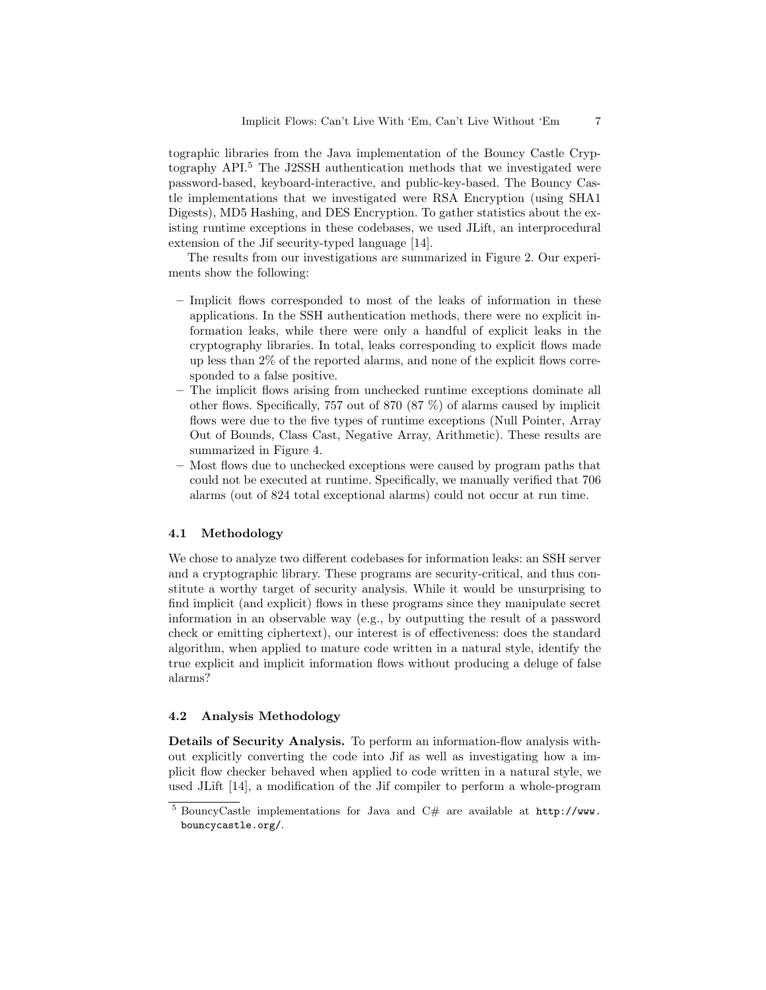tographic libraries from the Java implementation of the Bouncy Castle Cryptography API.<sup>5</sup> The J2SSH authentication methods that we investigated were password-based, keyboard-interactive, and public-key-based. The Bouncy Castle implementations that we investigated were RSA Encryption (using SHA1 Digests), MD5 Hashing, and DES Encryption. To gather statistics about the existing runtime exceptions in these codebases, we used JLift, an interprocedural extension of the Jif security-typed language [14].

The results from our investigations are summarized in Figure 2. Our experiments show the following:

- Implicit flows corresponded to most of the leaks of information in these applications. In the SSH authentication methods, there were no explicit information leaks, while there were only a handful of explicit leaks in the cryptography libraries. In total, leaks corresponding to explicit flows made up less than 2% of the reported alarms, and none of the explicit flows corresponded to a false positive.
- The implicit flows arising from unchecked runtime exceptions dominate all other flows. Specifically, 757 out of 870 (87 %) of alarms caused by implicit flows were due to the five types of runtime exceptions (Null Pointer, Array Out of Bounds, Class Cast, Negative Array, Arithmetic). These results are summarized in Figure 4.
- Most flows due to unchecked exceptions were caused by program paths that could not be executed at runtime. Specifically, we manually verified that 706 alarms (out of 824 total exceptional alarms) could not occur at run time.

### 4.1 Methodology

We chose to analyze two different codebases for information leaks: an SSH server and a cryptographic library. These programs are security-critical, and thus constitute a worthy target of security analysis. While it would be unsurprising to find implicit (and explicit) flows in these programs since they manipulate secret information in an observable way (e.g., by outputting the result of a password check or emitting ciphertext), our interest is of effectiveness: does the standard algorithm, when applied to mature code written in a natural style, identify the true explicit and implicit information flows without producing a deluge of false alarms?

### 4.2 Analysis Methodology

Details of Security Analysis. To perform an information-flow analysis without explicitly converting the code into Jif as well as investigating how a implicit flow checker behaved when applied to code written in a natural style, we used JLift [14], a modification of the Jif compiler to perform a whole-program

 $5$  BouncyCastle implementations for Java and C# are available at http://www. bouncycastle.org/.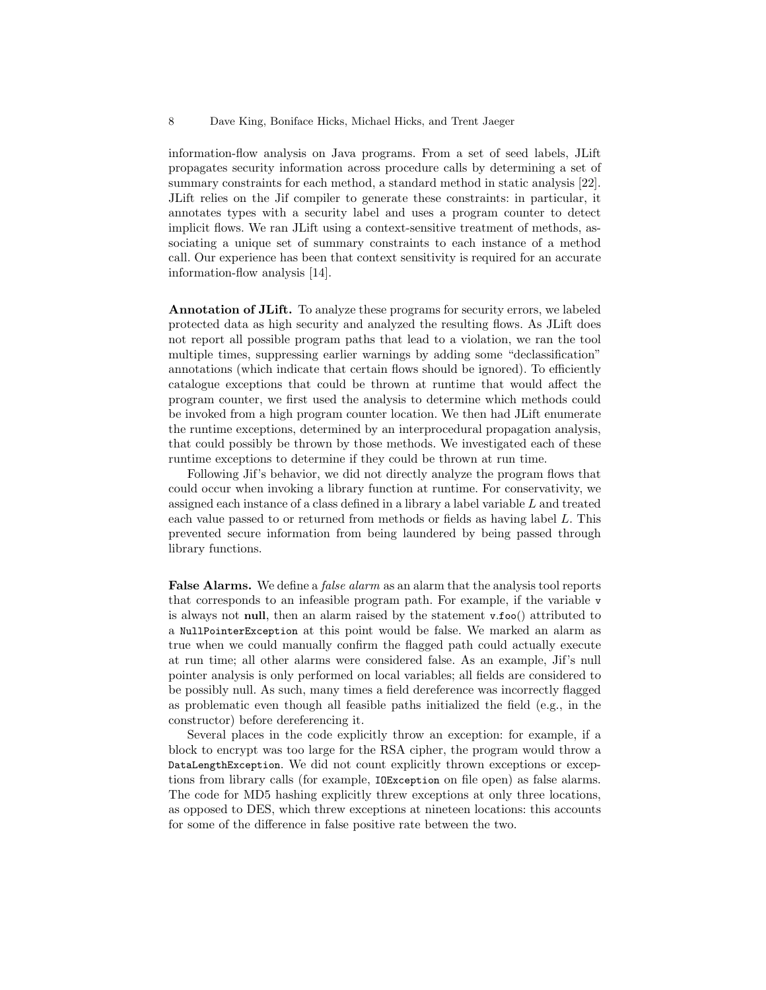information-flow analysis on Java programs. From a set of seed labels, JLift propagates security information across procedure calls by determining a set of summary constraints for each method, a standard method in static analysis [22]. JLift relies on the Jif compiler to generate these constraints: in particular, it annotates types with a security label and uses a program counter to detect implicit flows. We ran JLift using a context-sensitive treatment of methods, associating a unique set of summary constraints to each instance of a method call. Our experience has been that context sensitivity is required for an accurate information-flow analysis [14].

Annotation of JLift. To analyze these programs for security errors, we labeled protected data as high security and analyzed the resulting flows. As JLift does not report all possible program paths that lead to a violation, we ran the tool multiple times, suppressing earlier warnings by adding some "declassification" annotations (which indicate that certain flows should be ignored). To efficiently catalogue exceptions that could be thrown at runtime that would affect the program counter, we first used the analysis to determine which methods could be invoked from a high program counter location. We then had JLift enumerate the runtime exceptions, determined by an interprocedural propagation analysis, that could possibly be thrown by those methods. We investigated each of these runtime exceptions to determine if they could be thrown at run time.

Following Jif's behavior, we did not directly analyze the program flows that could occur when invoking a library function at runtime. For conservativity, we assigned each instance of a class defined in a library a label variable L and treated each value passed to or returned from methods or fields as having label L. This prevented secure information from being laundered by being passed through library functions.

False Alarms. We define a *false alarm* as an alarm that the analysis tool reports that corresponds to an infeasible program path. For example, if the variable v is always not null, then an alarm raised by the statement v.foo() attributed to a NullPointerException at this point would be false. We marked an alarm as true when we could manually confirm the flagged path could actually execute at run time; all other alarms were considered false. As an example, Jif's null pointer analysis is only performed on local variables; all fields are considered to be possibly null. As such, many times a field dereference was incorrectly flagged as problematic even though all feasible paths initialized the field (e.g., in the constructor) before dereferencing it.

Several places in the code explicitly throw an exception: for example, if a block to encrypt was too large for the RSA cipher, the program would throw a DataLengthException. We did not count explicitly thrown exceptions or exceptions from library calls (for example, IOException on file open) as false alarms. The code for MD5 hashing explicitly threw exceptions at only three locations, as opposed to DES, which threw exceptions at nineteen locations: this accounts for some of the difference in false positive rate between the two.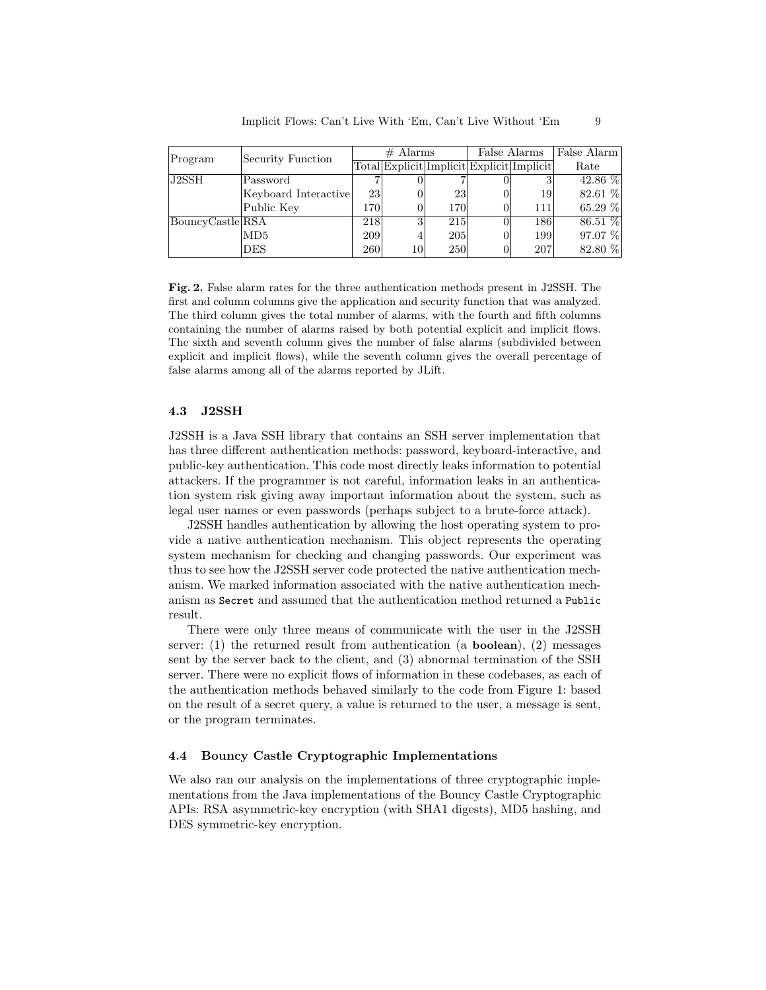| Program          | Security Function    | $#$ Alarms |                                           |     | False Alarms |     | False Alarm |
|------------------|----------------------|------------|-------------------------------------------|-----|--------------|-----|-------------|
|                  |                      |            | Total Explicit Implicit Explicit Implicit |     |              |     | Rate        |
| J2SSH            | Password             |            |                                           |     |              |     | 42.86 %     |
|                  | Keyboard Interactive | 23         |                                           | 23  |              | 19  | 82.61 %     |
|                  | Public Key           | 170        |                                           | 170 |              | 111 | 65.29 %     |
| BouncyCastle RSA |                      | 218        | 3                                         | 215 |              | 186 | 86.51 %     |
|                  | MD5                  | 209        | 4                                         | 205 |              | 199 | 97.07 %     |
|                  | <b>DES</b>           | 260        | 10                                        | 250 |              | 207 | 82.80 %     |
|                  |                      |            |                                           |     |              |     |             |

Fig. 2. False alarm rates for the three authentication methods present in J2SSH. The first and column columns give the application and security function that was analyzed. The third column gives the total number of alarms, with the fourth and fifth columns containing the number of alarms raised by both potential explicit and implicit flows. The sixth and seventh column gives the number of false alarms (subdivided between explicit and implicit flows), while the seventh column gives the overall percentage of false alarms among all of the alarms reported by JLift.

### 4.3 J2SSH

J2SSH is a Java SSH library that contains an SSH server implementation that has three different authentication methods: password, keyboard-interactive, and public-key authentication. This code most directly leaks information to potential attackers. If the programmer is not careful, information leaks in an authentication system risk giving away important information about the system, such as legal user names or even passwords (perhaps subject to a brute-force attack).

J2SSH handles authentication by allowing the host operating system to provide a native authentication mechanism. This object represents the operating system mechanism for checking and changing passwords. Our experiment was thus to see how the J2SSH server code protected the native authentication mechanism. We marked information associated with the native authentication mechanism as Secret and assumed that the authentication method returned a Public result.

There were only three means of communicate with the user in the J2SSH server: (1) the returned result from authentication (a boolean), (2) messages sent by the server back to the client, and (3) abnormal termination of the SSH server. There were no explicit flows of information in these codebases, as each of the authentication methods behaved similarly to the code from Figure 1: based on the result of a secret query, a value is returned to the user, a message is sent, or the program terminates.

### 4.4 Bouncy Castle Cryptographic Implementations

We also ran our analysis on the implementations of three cryptographic implementations from the Java implementations of the Bouncy Castle Cryptographic APIs: RSA asymmetric-key encryption (with SHA1 digests), MD5 hashing, and DES symmetric-key encryption.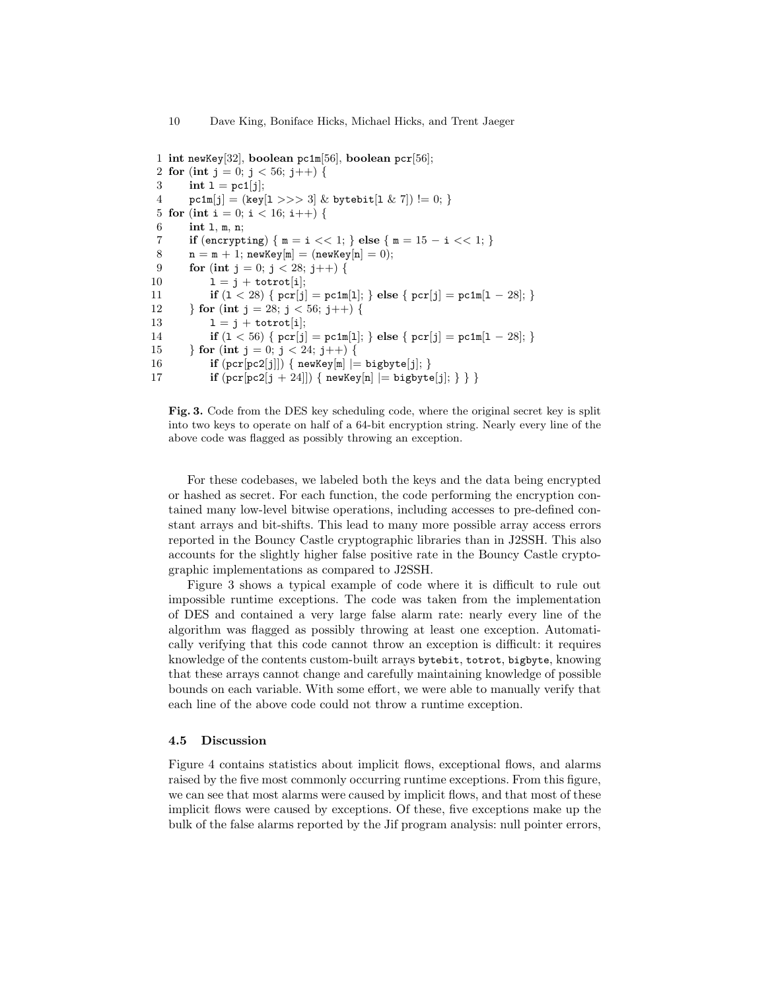```
1 int newKey[32], boolean pc1m[56], boolean pcr[56];
 2 for (int j = 0; j < 56; j++) {
 3 int 1 = pc1[j];<br>4 pc1m[i] = (kev]
       pc1m[j] = (key[1 \gg 3] \& bytebit[1 \& 7]) != 0;5 for (int i = 0; i < 16; i++) {
 6 int l, m, n;
 7 if (encrypting) \{ m = i \ll 1; \} else \{ m = 15 - i \ll 1; \}8 n = m + 1; newKey[m] = (newKey[n] = 0);
 9 for (int j = 0; j < 28; j++) {
10 1 = j + \text{totrot}[i];11 if (1 < 28) { pcr[j] = pc1m[1]; } else { pcr[j] = pc1m[1 - 28]; }
12 } for (int j = 28; j < 56; j++) {
13 1 = j + \text{totrot}[i];14 if (1 < 56) { pcr[j] = pc1m[1]; } else { pcr[j] = pc1m[1 - 28]; }
15 } for (int j = 0; j < 24; j++) {
16 if \frac{1}{2} if (pcr[pc2[j]]) { newKey[m] |=\text{bigbyte}[j];<br>17 if (pcr[pc2[j + 24]]) { newKey[n] |=\text{rightlet}if (pcr[pc2[j + 24]]) \{ newKey[n] |= bigbyte[j]; \}
```
Fig. 3. Code from the DES key scheduling code, where the original secret key is split into two keys to operate on half of a 64-bit encryption string. Nearly every line of the above code was flagged as possibly throwing an exception.

For these codebases, we labeled both the keys and the data being encrypted or hashed as secret. For each function, the code performing the encryption contained many low-level bitwise operations, including accesses to pre-defined constant arrays and bit-shifts. This lead to many more possible array access errors reported in the Bouncy Castle cryptographic libraries than in J2SSH. This also accounts for the slightly higher false positive rate in the Bouncy Castle cryptographic implementations as compared to J2SSH.

Figure 3 shows a typical example of code where it is difficult to rule out impossible runtime exceptions. The code was taken from the implementation of DES and contained a very large false alarm rate: nearly every line of the algorithm was flagged as possibly throwing at least one exception. Automatically verifying that this code cannot throw an exception is difficult: it requires knowledge of the contents custom-built arrays bytebit, totrot, bigbyte, knowing that these arrays cannot change and carefully maintaining knowledge of possible bounds on each variable. With some effort, we were able to manually verify that each line of the above code could not throw a runtime exception.

### 4.5 Discussion

Figure 4 contains statistics about implicit flows, exceptional flows, and alarms raised by the five most commonly occurring runtime exceptions. From this figure, we can see that most alarms were caused by implicit flows, and that most of these implicit flows were caused by exceptions. Of these, five exceptions make up the bulk of the false alarms reported by the Jif program analysis: null pointer errors,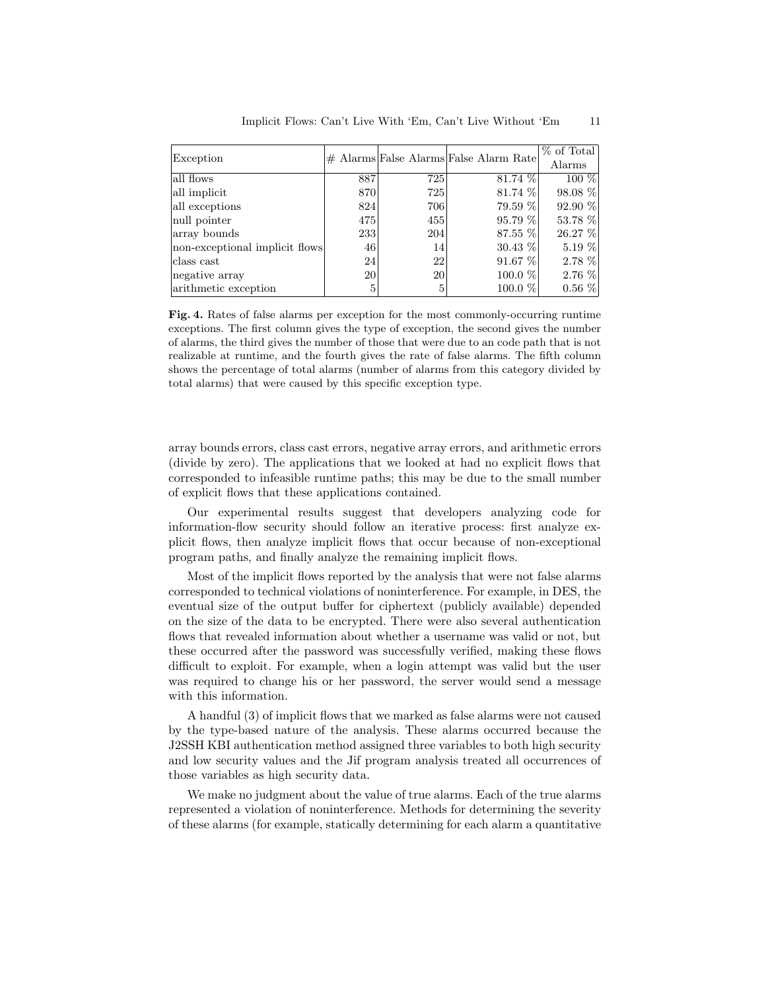| Exception                      |     |     | # Alarms False Alarms False Alarm Rate | % of Total |
|--------------------------------|-----|-----|----------------------------------------|------------|
|                                |     |     |                                        | Alarms     |
| all flows                      | 887 | 725 | $81.74\%$                              | 100 %      |
| all implicit                   | 870 | 725 | 81.74 %                                | $98.08\%$  |
| all exceptions                 | 824 | 706 | 79.59 %                                | $92.90\%$  |
| null pointer                   | 475 | 455 | 95.79 %                                | 53.78 %    |
| array bounds                   | 233 | 204 | 87.55 %                                | 26.27 %    |
| non-exceptional implicit flows | 46  | 14  | $30.43~\%$                             | $5.19\%$   |
| class cast                     | 24  | 22  | 91.67%                                 | 2.78 %     |
| negative array                 | 20  | 20  | 100.0 %                                | 2.76 %     |
| arithmetic exception           | 5   |     | 100.0 %                                | $0.56\%$   |

Fig. 4. Rates of false alarms per exception for the most commonly-occurring runtime exceptions. The first column gives the type of exception, the second gives the number of alarms, the third gives the number of those that were due to an code path that is not realizable at runtime, and the fourth gives the rate of false alarms. The fifth column shows the percentage of total alarms (number of alarms from this category divided by total alarms) that were caused by this specific exception type.

array bounds errors, class cast errors, negative array errors, and arithmetic errors (divide by zero). The applications that we looked at had no explicit flows that corresponded to infeasible runtime paths; this may be due to the small number of explicit flows that these applications contained.

Our experimental results suggest that developers analyzing code for information-flow security should follow an iterative process: first analyze explicit flows, then analyze implicit flows that occur because of non-exceptional program paths, and finally analyze the remaining implicit flows.

Most of the implicit flows reported by the analysis that were not false alarms corresponded to technical violations of noninterference. For example, in DES, the eventual size of the output buffer for ciphertext (publicly available) depended on the size of the data to be encrypted. There were also several authentication flows that revealed information about whether a username was valid or not, but these occurred after the password was successfully verified, making these flows difficult to exploit. For example, when a login attempt was valid but the user was required to change his or her password, the server would send a message with this information.

A handful (3) of implicit flows that we marked as false alarms were not caused by the type-based nature of the analysis. These alarms occurred because the J2SSH KBI authentication method assigned three variables to both high security and low security values and the Jif program analysis treated all occurrences of those variables as high security data.

We make no judgment about the value of true alarms. Each of the true alarms represented a violation of noninterference. Methods for determining the severity of these alarms (for example, statically determining for each alarm a quantitative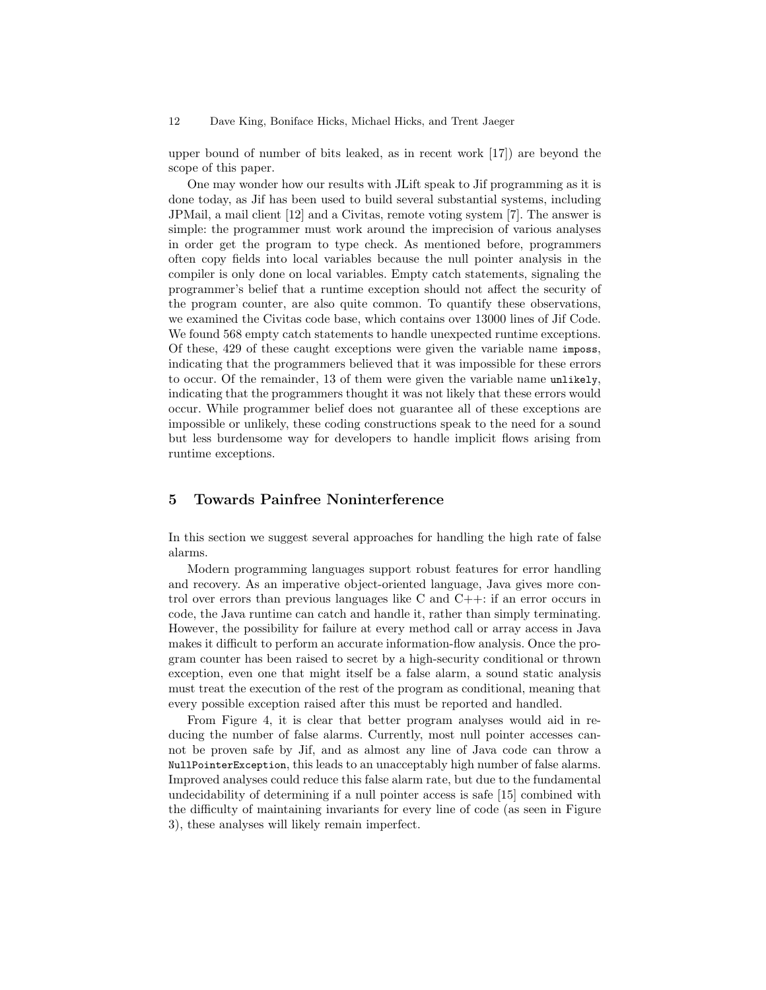upper bound of number of bits leaked, as in recent work [17]) are beyond the scope of this paper.

One may wonder how our results with JLift speak to Jif programming as it is done today, as Jif has been used to build several substantial systems, including JPMail, a mail client [12] and a Civitas, remote voting system [7]. The answer is simple: the programmer must work around the imprecision of various analyses in order get the program to type check. As mentioned before, programmers often copy fields into local variables because the null pointer analysis in the compiler is only done on local variables. Empty catch statements, signaling the programmer's belief that a runtime exception should not affect the security of the program counter, are also quite common. To quantify these observations, we examined the Civitas code base, which contains over 13000 lines of Jif Code. We found 568 empty catch statements to handle unexpected runtime exceptions. Of these, 429 of these caught exceptions were given the variable name imposs, indicating that the programmers believed that it was impossible for these errors to occur. Of the remainder, 13 of them were given the variable name unlikely, indicating that the programmers thought it was not likely that these errors would occur. While programmer belief does not guarantee all of these exceptions are impossible or unlikely, these coding constructions speak to the need for a sound but less burdensome way for developers to handle implicit flows arising from runtime exceptions.

# 5 Towards Painfree Noninterference

In this section we suggest several approaches for handling the high rate of false alarms.

Modern programming languages support robust features for error handling and recovery. As an imperative object-oriented language, Java gives more control over errors than previous languages like C and C++: if an error occurs in code, the Java runtime can catch and handle it, rather than simply terminating. However, the possibility for failure at every method call or array access in Java makes it difficult to perform an accurate information-flow analysis. Once the program counter has been raised to secret by a high-security conditional or thrown exception, even one that might itself be a false alarm, a sound static analysis must treat the execution of the rest of the program as conditional, meaning that every possible exception raised after this must be reported and handled.

From Figure 4, it is clear that better program analyses would aid in reducing the number of false alarms. Currently, most null pointer accesses cannot be proven safe by Jif, and as almost any line of Java code can throw a NullPointerException, this leads to an unacceptably high number of false alarms. Improved analyses could reduce this false alarm rate, but due to the fundamental undecidability of determining if a null pointer access is safe [15] combined with the difficulty of maintaining invariants for every line of code (as seen in Figure 3), these analyses will likely remain imperfect.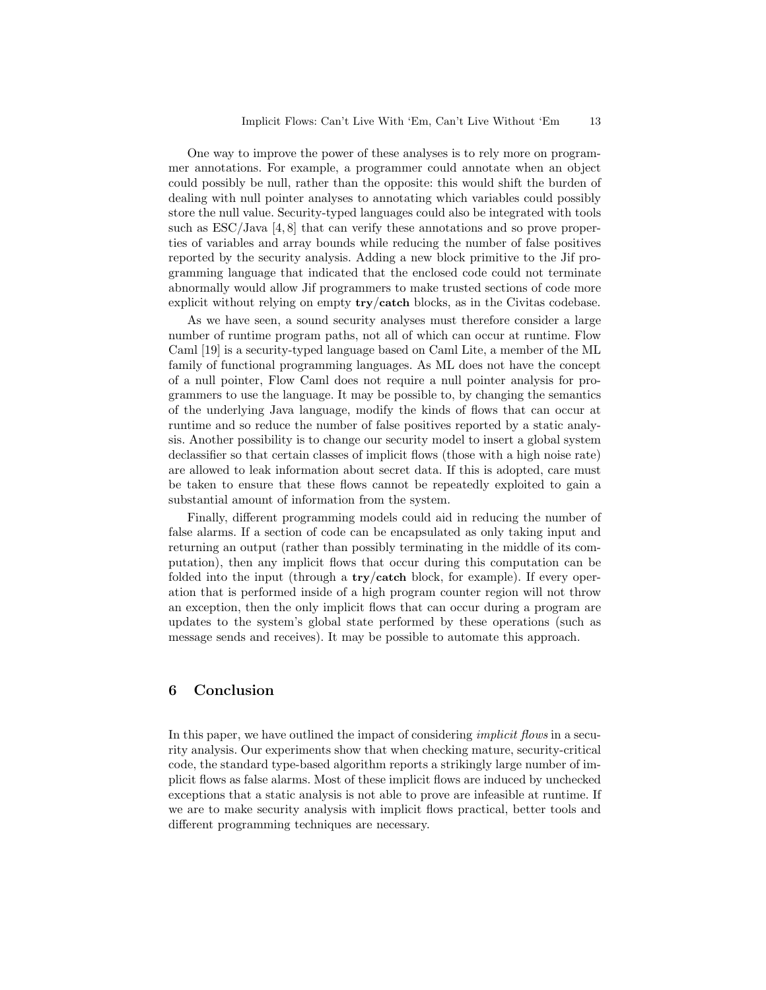One way to improve the power of these analyses is to rely more on programmer annotations. For example, a programmer could annotate when an object could possibly be null, rather than the opposite: this would shift the burden of dealing with null pointer analyses to annotating which variables could possibly store the null value. Security-typed languages could also be integrated with tools such as ESC/Java [4, 8] that can verify these annotations and so prove properties of variables and array bounds while reducing the number of false positives reported by the security analysis. Adding a new block primitive to the Jif programming language that indicated that the enclosed code could not terminate abnormally would allow Jif programmers to make trusted sections of code more explicit without relying on empty try/catch blocks, as in the Civitas codebase.

As we have seen, a sound security analyses must therefore consider a large number of runtime program paths, not all of which can occur at runtime. Flow Caml [19] is a security-typed language based on Caml Lite, a member of the ML family of functional programming languages. As ML does not have the concept of a null pointer, Flow Caml does not require a null pointer analysis for programmers to use the language. It may be possible to, by changing the semantics of the underlying Java language, modify the kinds of flows that can occur at runtime and so reduce the number of false positives reported by a static analysis. Another possibility is to change our security model to insert a global system declassifier so that certain classes of implicit flows (those with a high noise rate) are allowed to leak information about secret data. If this is adopted, care must be taken to ensure that these flows cannot be repeatedly exploited to gain a substantial amount of information from the system.

Finally, different programming models could aid in reducing the number of false alarms. If a section of code can be encapsulated as only taking input and returning an output (rather than possibly terminating in the middle of its computation), then any implicit flows that occur during this computation can be folded into the input (through a try/catch block, for example). If every operation that is performed inside of a high program counter region will not throw an exception, then the only implicit flows that can occur during a program are updates to the system's global state performed by these operations (such as message sends and receives). It may be possible to automate this approach.

# 6 Conclusion

In this paper, we have outlined the impact of considering *implicit flows* in a security analysis. Our experiments show that when checking mature, security-critical code, the standard type-based algorithm reports a strikingly large number of implicit flows as false alarms. Most of these implicit flows are induced by unchecked exceptions that a static analysis is not able to prove are infeasible at runtime. If we are to make security analysis with implicit flows practical, better tools and different programming techniques are necessary.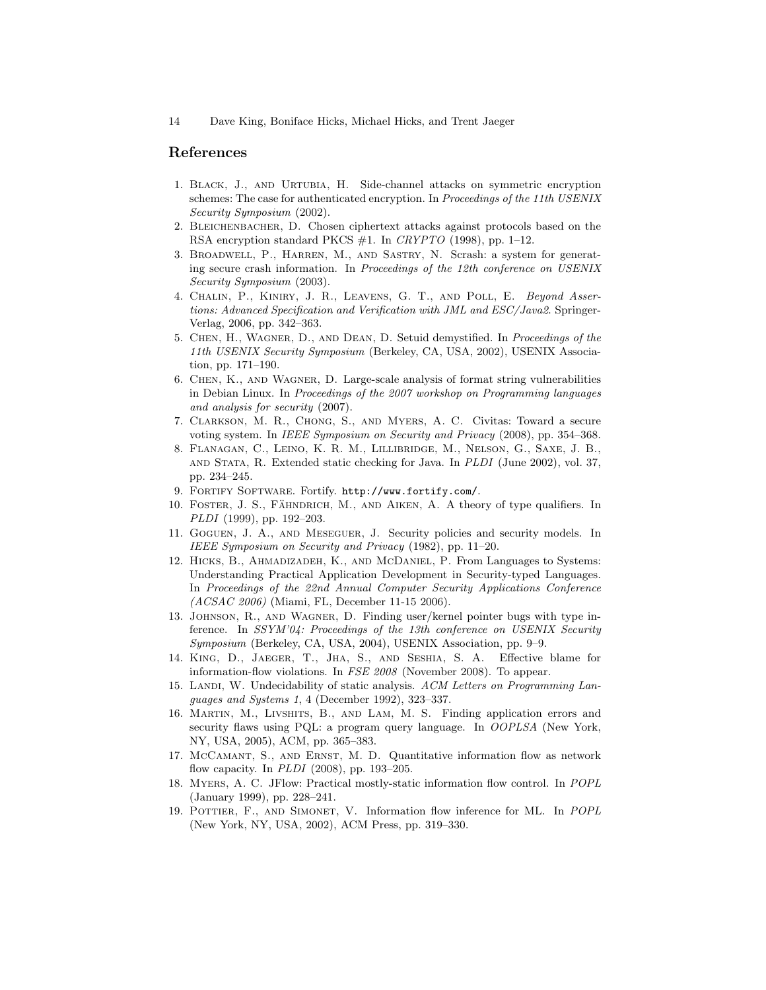# References

- 1. Black, J., and Urtubia, H. Side-channel attacks on symmetric encryption schemes: The case for authenticated encryption. In Proceedings of the 11th USENIX Security Symposium (2002).
- 2. Bleichenbacher, D. Chosen ciphertext attacks against protocols based on the RSA encryption standard PKCS #1. In CRYPTO (1998), pp. 1–12.
- 3. Broadwell, P., Harren, M., and Sastry, N. Scrash: a system for generating secure crash information. In Proceedings of the 12th conference on USENIX Security Symposium (2003).
- 4. Chalin, P., Kiniry, J. R., Leavens, G. T., and Poll, E. Beyond Assertions: Advanced Specification and Verification with JML and ESC/Java2. Springer-Verlag, 2006, pp. 342–363.
- 5. Chen, H., Wagner, D., and Dean, D. Setuid demystified. In Proceedings of the 11th USENIX Security Symposium (Berkeley, CA, USA, 2002), USENIX Association, pp. 171–190.
- 6. Chen, K., and Wagner, D. Large-scale analysis of format string vulnerabilities in Debian Linux. In Proceedings of the 2007 workshop on Programming languages and analysis for security (2007).
- 7. Clarkson, M. R., Chong, S., and Myers, A. C. Civitas: Toward a secure voting system. In IEEE Symposium on Security and Privacy (2008), pp. 354–368.
- 8. Flanagan, C., Leino, K. R. M., Lillibridge, M., Nelson, G., Saxe, J. B., and Stata, R. Extended static checking for Java. In PLDI (June 2002), vol. 37, pp. 234–245.
- 9. Fortify Software. Fortify. http://www.fortify.com/.
- 10. FOSTER, J. S., FAHNDRICH, M., AND AIKEN, A. A theory of type qualifiers. In PLDI (1999), pp. 192-203.
- 11. Goguen, J. A., and Meseguer, J. Security policies and security models. In IEEE Symposium on Security and Privacy (1982), pp. 11–20.
- 12. Hicks, B., Ahmadizadeh, K., and McDaniel, P. From Languages to Systems: Understanding Practical Application Development in Security-typed Languages. In Proceedings of the 22nd Annual Computer Security Applications Conference (ACSAC 2006) (Miami, FL, December 11-15 2006).
- 13. Johnson, R., and Wagner, D. Finding user/kernel pointer bugs with type inference. In SSYM'04: Proceedings of the 13th conference on USENIX Security Symposium (Berkeley, CA, USA, 2004), USENIX Association, pp. 9–9.
- 14. King, D., Jaeger, T., Jha, S., and Seshia, S. A. Effective blame for information-flow violations. In FSE 2008 (November 2008). To appear.
- 15. LANDI, W. Undecidability of static analysis. ACM Letters on Programming Languages and Systems 1, 4 (December 1992), 323–337.
- 16. Martin, M., Livshits, B., and Lam, M. S. Finding application errors and security flaws using PQL: a program query language. In OOPLSA (New York, NY, USA, 2005), ACM, pp. 365–383.
- 17. McCamant, S., and Ernst, M. D. Quantitative information flow as network flow capacity. In PLDI (2008), pp. 193–205.
- 18. Myers, A. C. JFlow: Practical mostly-static information flow control. In POPL (January 1999), pp. 228–241.
- 19. POTTIER, F., AND SIMONET, V. Information flow inference for ML. In POPL (New York, NY, USA, 2002), ACM Press, pp. 319–330.